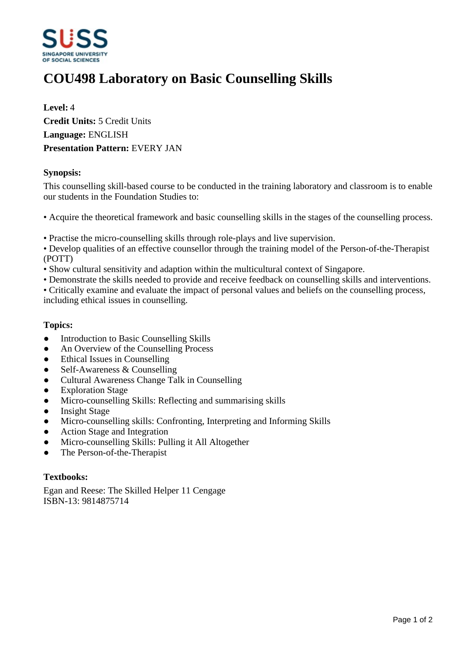

# **COU498 Laboratory on Basic Counselling Skills**

**Level:** 4 **Credit Units:** 5 Credit Units **Language:** ENGLISH **Presentation Pattern:** EVERY JAN

# **Synopsis:**

This counselling skill-based course to be conducted in the training laboratory and classroom is to enable our students in the Foundation Studies to:

- Acquire the theoretical framework and basic counselling skills in the stages of the counselling process.
- Practise the micro-counselling skills through role-plays and live supervision.
- Develop qualities of an effective counsellor through the training model of the Person-of-the-Therapist (POTT)
- Show cultural sensitivity and adaption within the multicultural context of Singapore.
- Demonstrate the skills needed to provide and receive feedback on counselling skills and interventions.
- Critically examine and evaluate the impact of personal values and beliefs on the counselling process, including ethical issues in counselling.

### **Topics:**

- Introduction to Basic Counselling Skills
- An Overview of the Counselling Process
- Ethical Issues in Counselling
- Self-Awareness & Counselling
- Cultural Awareness Change Talk in Counselling
- Exploration Stage
- Micro-counselling Skills: Reflecting and summarising skills
- Insight Stage
- Micro-counselling skills: Confronting, Interpreting and Informing Skills
- Action Stage and Integration
- Micro-counselling Skills: Pulling it All Altogether
- ƔThe Person-of-the-Therapist

#### **Textbooks:**

Egan and Reese: The Skilled Helper 11 Cengage ISBN-13: 9814875714